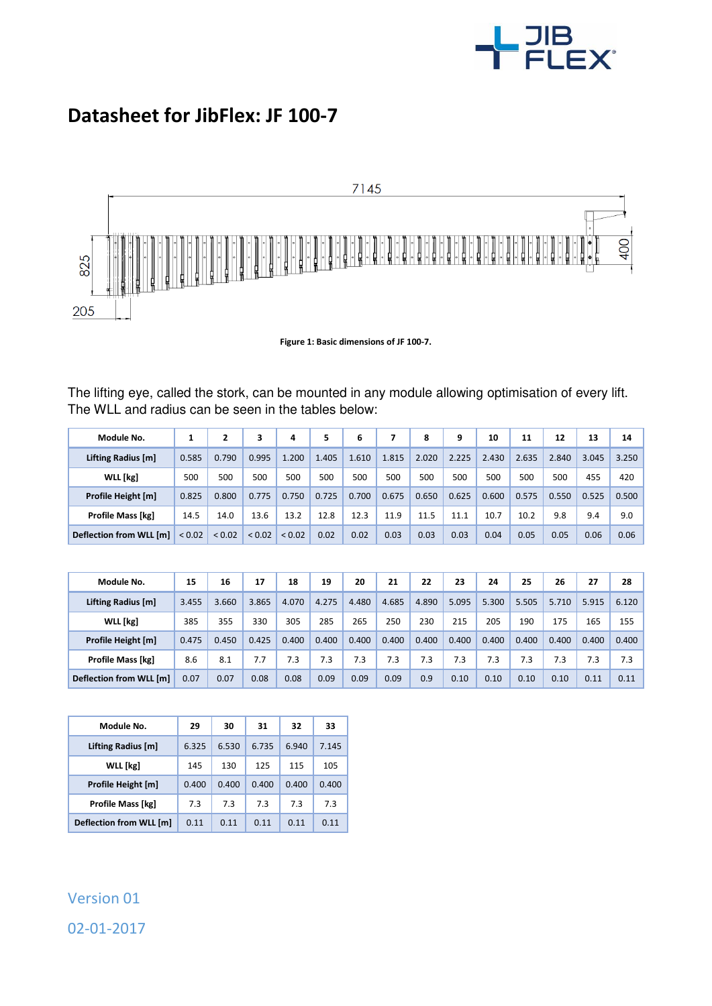

## **Datasheet for JibFlex: JF 100-7**



**Figure 1: Basic dimensions of JF 100-7.** 

The lifting eye, called the stork, can be mounted in any module allowing optimisation of every lift. The WLL and radius can be seen in the tables below:

| Module No.              |             | 2      | з           | 4      | 5     | 6     | 7     | 8     | 9     | 10    | 11    | 12    | 13    | 14    |
|-------------------------|-------------|--------|-------------|--------|-------|-------|-------|-------|-------|-------|-------|-------|-------|-------|
| Lifting Radius [m]      | 0.585       | 0.790  | 0.995       | 1.200  | 1.405 | 1.610 | 1.815 | 2.020 | 2.225 | 2.430 | 2.635 | 2.840 | 3.045 | 3.250 |
| WLL [kg]                | 500         | 500    | 500         | 500    | 500   | 500   | 500   | 500   | 500   | 500   | 500   | 500   | 455   | 420   |
| Profile Height [m]      | 0.825       | 0.800  | 0.775       | 0.750  | 0.725 | 0.700 | 0.675 | 0.650 | 0.625 | 0.600 | 0.575 | 0.550 | 0.525 | 0.500 |
| Profile Mass [kg]       | 14.5        | 14.0   | 13.6        | 13.2   | 12.8  | 12.3  | 11.9  | 11.5  | 11.1  | 10.7  | 10.2  | 9.8   | 9.4   | 9.0   |
| Deflection from WLL [m] | ${}_{0.02}$ | < 0.02 | ${}_{0.02}$ | < 0.02 | 0.02  | 0.02  | 0.03  | 0.03  | 0.03  | 0.04  | 0.05  | 0.05  | 0.06  | 0.06  |

| Module No.               | 15    | 16    | 17    | 18    | 19    | 20    | 21    | 22    | 23    | 24    | 25    | 26    | 27    | 28    |
|--------------------------|-------|-------|-------|-------|-------|-------|-------|-------|-------|-------|-------|-------|-------|-------|
| Lifting Radius [m]       | 3.455 | 3.660 | 3.865 | 4.070 | 4.275 | 4.480 | 4.685 | 4.890 | 5.095 | 5.300 | 5.505 | 5.710 | 5.915 | 6.120 |
| WLL [kg]                 | 385   | 355   | 330   | 305   | 285   | 265   | 250   | 230   | 215   | 205   | 190   | 175   | 165   | 155   |
| Profile Height [m]       | 0.475 | 0.450 | 0.425 | 0.400 | 0.400 | 0.400 | 0.400 | 0.400 | 0.400 | 0.400 | 0.400 | 0.400 | 0.400 | 0.400 |
| <b>Profile Mass [kg]</b> | 8.6   | 8.1   | 7.7   | 7.3   | 7.3   | 7.3   | 7.3   | 7.3   | 7.3   | 7.3   | 7.3   | 7.3   | 7.3   | 7.3   |
| Deflection from WLL [m]  | 0.07  | 0.07  | 0.08  | 0.08  | 0.09  | 0.09  | 0.09  | 0.9   | 0.10  | 0.10  | 0.10  | 0.10  | 0.11  | 0.11  |

| Module No.                     | 29    | 30         | 31    | 32    | 33    |  |
|--------------------------------|-------|------------|-------|-------|-------|--|
| Lifting Radius [m]             | 6.325 | 6.530      | 6.735 | 6.940 | 7.145 |  |
| <b>WLL</b> [kg]                | 145   | 125<br>130 |       | 115   | 105   |  |
| Profile Height [m]             | 0.400 | 0.400      | 0.400 | 0.400 | 0.400 |  |
| Profile Mass [kg]              | 7.3   | 7.3        | 7.3   | 7.3   | 7.3   |  |
| <b>Deflection from WLL [m]</b> | 0.11  | 0.11       | 0.11  | 0.11  | 0.11  |  |